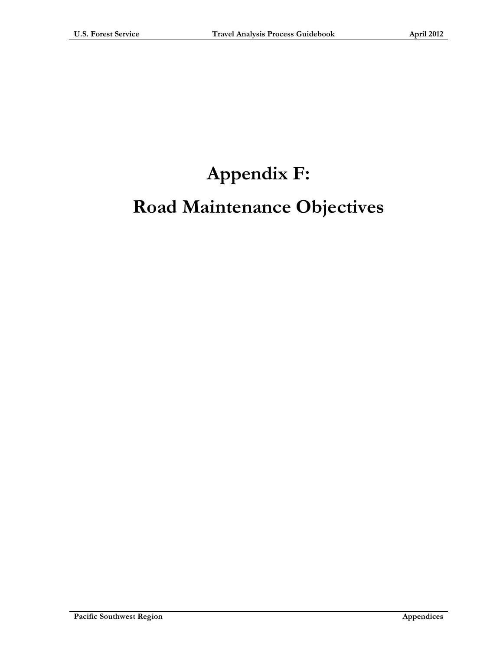# **Appendix F:**

# **Road Maintenance Objectives**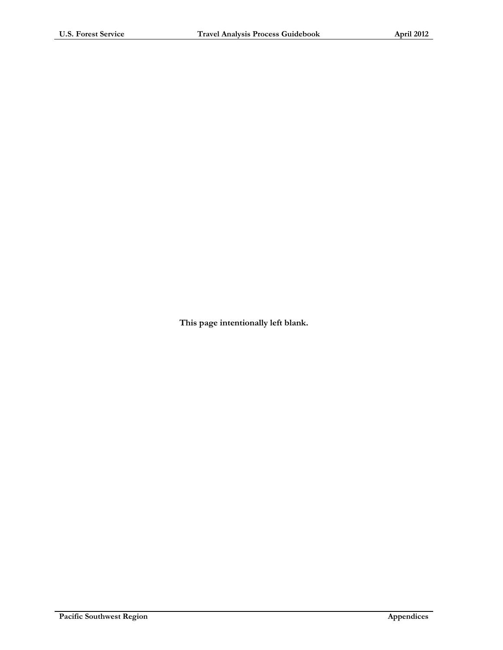**This page intentionally left blank.**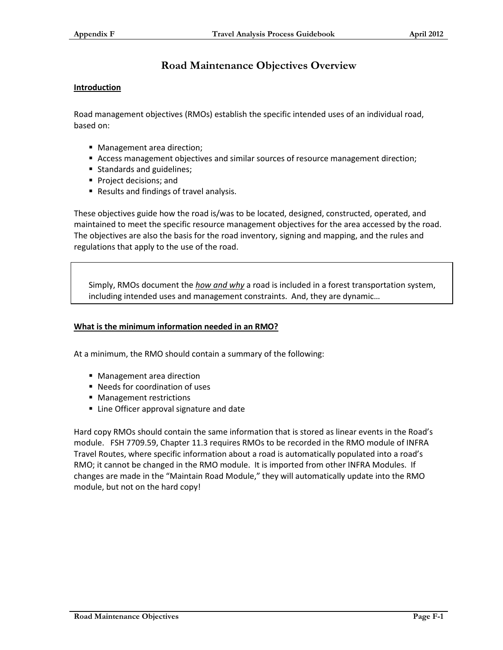## **Road Maintenance Objectives Overview**

#### **Introduction**

Road management objectives (RMOs) establish the specific intended uses of an individual road, based on:

- Management area direction;
- Access management objectives and similar sources of resource management direction;
- Standards and guidelines;
- **Project decisions; and**
- Results and findings of travel analysis.

These objectives guide how the road is/was to be located, designed, constructed, operated, and maintained to meet the specific resource management objectives for the area accessed by the road. The objectives are also the basis for the road inventory, signing and mapping, and the rules and regulations that apply to the use of the road.

Simply, RMOs document the *how and why* a road is included in a forest transportation system, including intended uses and management constraints. And, they are dynamic…

#### **What is the minimum information needed in an RMO?**

At a minimum, the RMO should contain a summary of the following:

- Management area direction
- Needs for coordination of uses
- **Management restrictions**
- Line Officer approval signature and date

Hard copy RMOs should contain the same information that is stored as linear events in the Road's module. FSH 7709.59, Chapter 11.3 requires RMOs to be recorded in the RMO module of INFRA Travel Routes, where specific information about a road is automatically populated into a road's RMO; it cannot be changed in the RMO module. It is imported from other INFRA Modules. If changes are made in the "Maintain Road Module," they will automatically update into the RMO module, but not on the hard copy!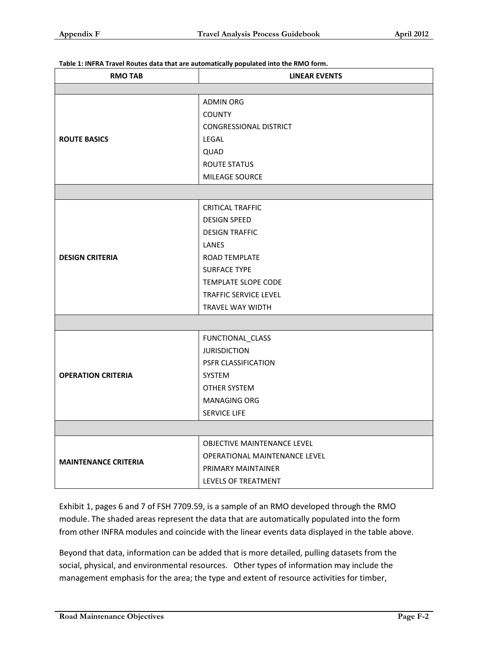**Table 1: INFRA Travel Routes data that are automatically populated into the RMO form.**

| <b>RMO TAB</b>              | <b>LINEAR EVENTS</b>               |
|-----------------------------|------------------------------------|
|                             |                                    |
|                             | <b>ADMIN ORG</b>                   |
|                             | <b>COUNTY</b>                      |
|                             | CONGRESSIONAL DISTRICT             |
| <b>ROUTE BASICS</b>         | LEGAL                              |
|                             | QUAD                               |
|                             | ROUTE STATUS                       |
|                             | MILEAGE SOURCE                     |
|                             |                                    |
|                             | <b>CRITICAL TRAFFIC</b>            |
|                             | <b>DESIGN SPEED</b>                |
|                             | <b>DESIGN TRAFFIC</b>              |
|                             | LANES                              |
| <b>DESIGN CRITERIA</b>      | ROAD TEMPLATE                      |
|                             | <b>SURFACE TYPE</b>                |
|                             | TEMPLATE SLOPE CODE                |
|                             | TRAFFIC SERVICE LEVEL              |
|                             | TRAVEL WAY WIDTH                   |
|                             |                                    |
|                             | FUNCTIONAL_CLASS                   |
|                             | <b>JURISDICTION</b>                |
|                             | PSFR CLASSIFICATION                |
| <b>OPERATION CRITERIA</b>   | SYSTEM                             |
|                             | <b>OTHER SYSTEM</b>                |
|                             | <b>MANAGING ORG</b>                |
|                             | <b>SERVICE LIFE</b>                |
|                             |                                    |
|                             | <b>OBJECTIVE MAINTENANCE LEVEL</b> |
|                             | OPERATIONAL MAINTENANCE LEVEL      |
| <b>MAINTENANCE CRITERIA</b> | PRIMARY MAINTAINER                 |
|                             | LEVELS OF TREATMENT                |

Exhibit 1, pages 6 and 7 of FSH 7709.59, is a sample of an RMO developed through the RMO module. The shaded areas represent the data that are automatically populated into the form from other INFRA modules and coincide with the linear events data displayed in the table above.

Beyond that data, information can be added that is more detailed, pulling datasets from the social, physical, and environmental resources. Other types of information may include the management emphasis for the area; the type and extent of resource activities for timber,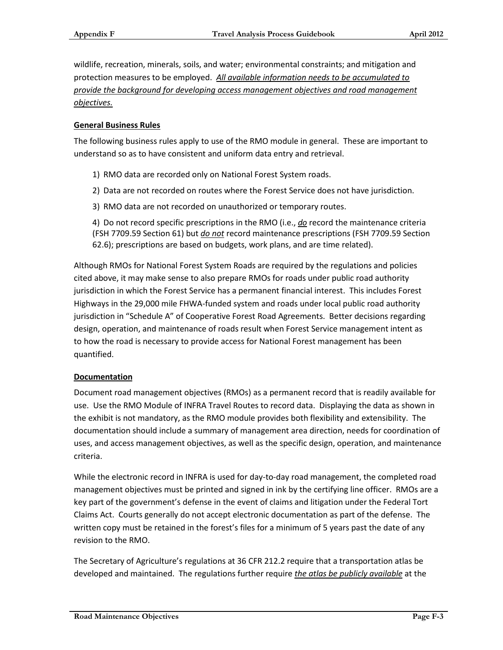wildlife, recreation, minerals, soils, and water; environmental constraints; and mitigation and protection measures to be employed. *All available information needs to be accumulated to provide the background for developing access management objectives and road management objectives.* 

#### **General Business Rules**

The following business rules apply to use of the RMO module in general. These are important to understand so as to have consistent and uniform data entry and retrieval.

- 1) RMO data are recorded only on National Forest System roads.
- 2) Data are not recorded on routes where the Forest Service does not have jurisdiction.
- 3) RMO data are not recorded on unauthorized or temporary routes.

4) Do not record specific prescriptions in the RMO (i.e., *do* record the maintenance criteria (FSH 7709.59 Section 61) but *do not* record maintenance prescriptions (FSH 7709.59 Section 62.6); prescriptions are based on budgets, work plans, and are time related).

Although RMOs for National Forest System Roads are required by the regulations and policies cited above, it may make sense to also prepare RMOs for roads under public road authority jurisdiction in which the Forest Service has a permanent financial interest. This includes Forest Highways in the 29,000 mile FHWA-funded system and roads under local public road authority jurisdiction in "Schedule A" of Cooperative Forest Road Agreements. Better decisions regarding design, operation, and maintenance of roads result when Forest Service management intent as to how the road is necessary to provide access for National Forest management has been quantified.

## **Documentation**

Document road management objectives (RMOs) as a permanent record that is readily available for use. Use the RMO Module of INFRA Travel Routes to record data. Displaying the data as shown in the exhibit is not mandatory, as the RMO module provides both flexibility and extensibility. The documentation should include a summary of management area direction, needs for coordination of uses, and access management objectives, as well as the specific design, operation, and maintenance criteria.

While the electronic record in INFRA is used for day-to-day road management, the completed road management objectives must be printed and signed in ink by the certifying line officer. RMOs are a key part of the government's defense in the event of claims and litigation under the Federal Tort Claims Act. Courts generally do not accept electronic documentation as part of the defense. The written copy must be retained in the forest's files for a minimum of 5 years past the date of any revision to the RMO.

The Secretary of Agriculture's regulations at 36 CFR 212.2 require that a transportation atlas be developed and maintained. The regulations further require *the atlas be publicly available* at the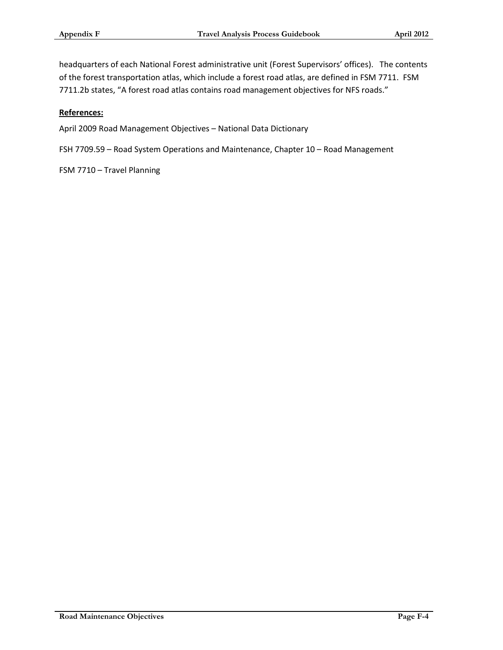headquarters of each National Forest administrative unit (Forest Supervisors' offices). The contents of the forest transportation atlas, which include a forest road atlas, are defined in FSM 7711. FSM 7711.2b states, "A forest road atlas contains road management objectives for NFS roads."

#### **References:**

April 2009 Road Management Objectives – National Data Dictionary

FSH 7709.59 – Road System Operations and Maintenance, Chapter 10 – Road Management

FSM 7710 – Travel Planning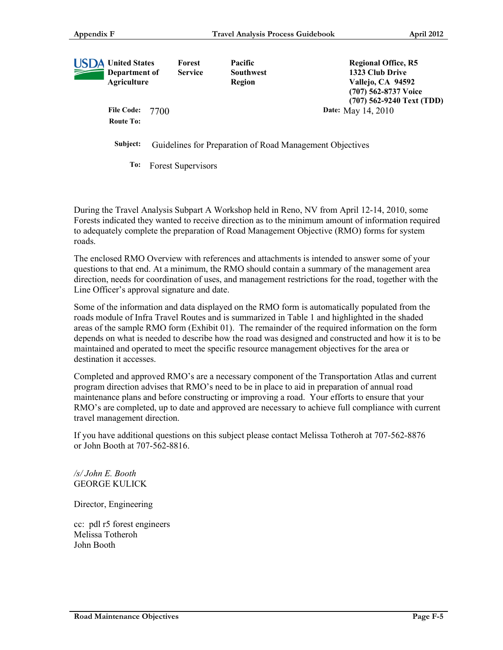| <b>United States</b><br>Department of<br>Agriculture |      | Forest<br><b>Service</b>  | Pacific<br><b>Southwest</b><br>Region | <b>Regional Office, R5</b><br>1323 Club Drive<br>Vallejo, CA 94592<br>(707) 562-8737 Voice |
|------------------------------------------------------|------|---------------------------|---------------------------------------|--------------------------------------------------------------------------------------------|
| <b>File Code:</b><br><b>Route To:</b>                | 7700 |                           |                                       | (707) 562-9240 Text (TDD)<br><b>Date:</b> May 14, 2010                                     |
| Subject:                                             |      |                           |                                       | Guidelines for Preparation of Road Management Objectives                                   |
| To:                                                  |      | <b>Forest Supervisors</b> |                                       |                                                                                            |

During the Travel Analysis Subpart A Workshop held in Reno, NV from April 12-14, 2010, some Forests indicated they wanted to receive direction as to the minimum amount of information required to adequately complete the preparation of Road Management Objective (RMO) forms for system roads.

The enclosed RMO Overview with references and attachments is intended to answer some of your questions to that end. At a minimum, the RMO should contain a summary of the management area direction, needs for coordination of uses, and management restrictions for the road, together with the Line Officer's approval signature and date.

Some of the information and data displayed on the RMO form is automatically populated from the roads module of Infra Travel Routes and is summarized in Table 1 and highlighted in the shaded areas of the sample RMO form (Exhibit 01). The remainder of the required information on the form depends on what is needed to describe how the road was designed and constructed and how it is to be maintained and operated to meet the specific resource management objectives for the area or destination it accesses.

Completed and approved RMO's are a necessary component of the Transportation Atlas and current program direction advises that RMO's need to be in place to aid in preparation of annual road maintenance plans and before constructing or improving a road. Your efforts to ensure that your RMO's are completed, up to date and approved are necessary to achieve full compliance with current travel management direction.

If you have additional questions on this subject please contact Melissa Totheroh at 707-562-8876 or John Booth at 707-562-8816.

*/s/ John E. Booth* GEORGE KULICK

Director, Engineering

cc: pdl r5 forest engineers Melissa Totheroh John Booth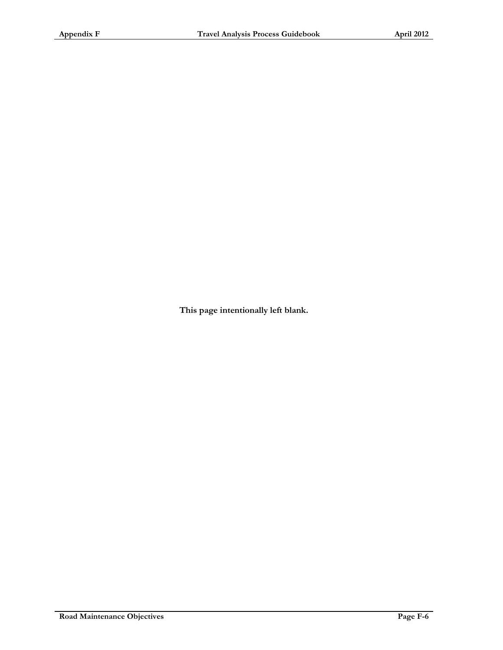**This page intentionally left blank.**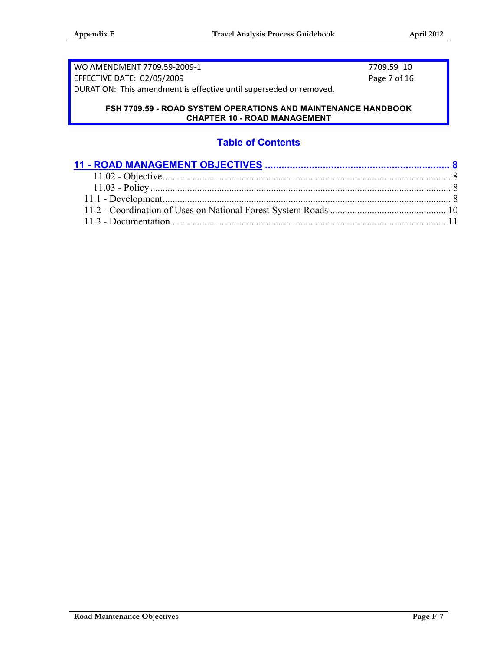| WO AMENDMENT 7709.59-2009-1                                        | 7709.59 10   |
|--------------------------------------------------------------------|--------------|
| EFFECTIVE DATE: 02/05/2009                                         | Page 7 of 16 |
| DURATION: This amendment is effective until superseded or removed. |              |

#### **FSH 7709.59 - ROAD SYSTEM OPERATIONS AND MAINTENANCE HANDBOOK CHAPTER 10 - ROAD MANAGEMENT**

# **Table of Contents**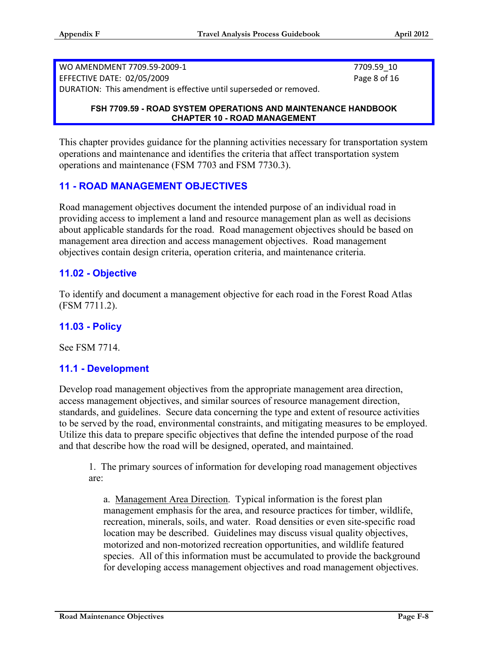7709.59\_10 Page 8 of 16

#### **FSH 7709.59 - ROAD SYSTEM OPERATIONS AND MAINTENANCE HANDBOOK CHAPTER 10 - ROAD MANAGEMENT**

This chapter provides guidance for the planning activities necessary for transportation system operations and maintenance and identifies the criteria that affect transportation system operations and maintenance (FSM 7703 and FSM 7730.3).

## <span id="page-9-0"></span>**11 - ROAD MANAGEMENT OBJECTIVES**

Road management objectives document the intended purpose of an individual road in providing access to implement a land and resource management plan as well as decisions about applicable standards for the road. Road management objectives should be based on management area direction and access management objectives. Road management objectives contain design criteria, operation criteria, and maintenance criteria.

## <span id="page-9-1"></span>**11.02 - Objective**

To identify and document a management objective for each road in the Forest Road Atlas (FSM 7711.2).

## <span id="page-9-2"></span>**11.03 - Policy**

<span id="page-9-3"></span>See FSM 7714.

## **11.1 - Development**

Develop road management objectives from the appropriate management area direction, access management objectives, and similar sources of resource management direction, standards, and guidelines. Secure data concerning the type and extent of resource activities to be served by the road, environmental constraints, and mitigating measures to be employed. Utilize this data to prepare specific objectives that define the intended purpose of the road and that describe how the road will be designed, operated, and maintained.

1. The primary sources of information for developing road management objectives are:

a. Management Area Direction. Typical information is the forest plan management emphasis for the area, and resource practices for timber, wildlife, recreation, minerals, soils, and water. Road densities or even site-specific road location may be described. Guidelines may discuss visual quality objectives, motorized and non-motorized recreation opportunities, and wildlife featured species. All of this information must be accumulated to provide the background for developing access management objectives and road management objectives.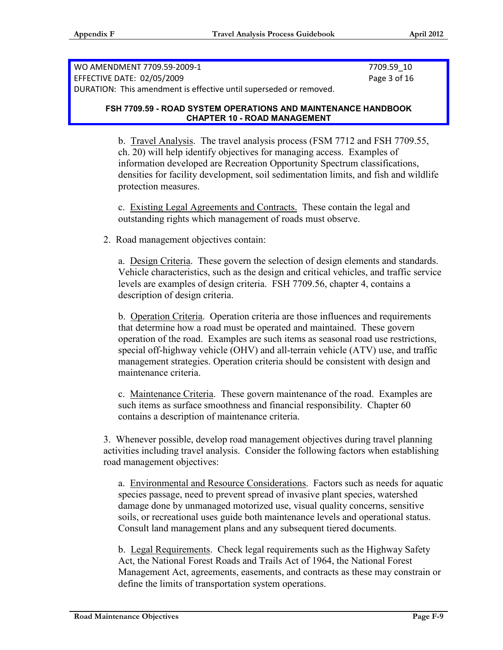7709.59\_10 Page 3 of 16

#### **FSH 7709.59 - ROAD SYSTEM OPERATIONS AND MAINTENANCE HANDBOOK CHAPTER 10 - ROAD MANAGEMENT**

b. Travel Analysis. The travel analysis process (FSM 7712 and FSH 7709.55, ch. 20) will help identify objectives for managing access. Examples of information developed are Recreation Opportunity Spectrum classifications, densities for facility development, soil sedimentation limits, and fish and wildlife protection measures.

c. Existing Legal Agreements and Contracts. These contain the legal and outstanding rights which management of roads must observe.

2. Road management objectives contain:

a. Design Criteria. These govern the selection of design elements and standards. Vehicle characteristics, such as the design and critical vehicles, and traffic service levels are examples of design criteria. FSH 7709.56, chapter 4, contains a description of design criteria.

b. Operation Criteria. Operation criteria are those influences and requirements that determine how a road must be operated and maintained. These govern operation of the road. Examples are such items as seasonal road use restrictions, special off-highway vehicle (OHV) and all-terrain vehicle (ATV) use, and traffic management strategies. Operation criteria should be consistent with design and maintenance criteria.

c. Maintenance Criteria. These govern maintenance of the road. Examples are such items as surface smoothness and financial responsibility. Chapter 60 contains a description of maintenance criteria.

3. Whenever possible, develop road management objectives during travel planning activities including travel analysis. Consider the following factors when establishing road management objectives:

a. Environmental and Resource Considerations. Factors such as needs for aquatic species passage, need to prevent spread of invasive plant species, watershed damage done by unmanaged motorized use, visual quality concerns, sensitive soils, or recreational uses guide both maintenance levels and operational status. Consult land management plans and any subsequent tiered documents.

b. Legal Requirements. Check legal requirements such as the Highway Safety Act, the National Forest Roads and Trails Act of 1964, the National Forest Management Act, agreements, easements, and contracts as these may constrain or define the limits of transportation system operations.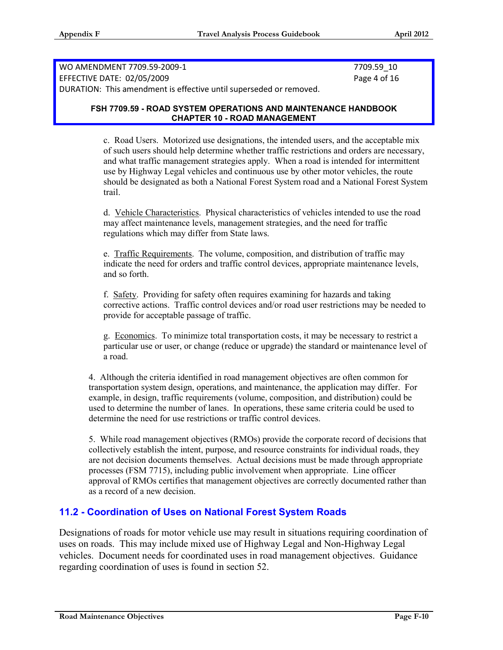7709.59\_10 Page 4 of 16

#### **FSH 7709.59 - ROAD SYSTEM OPERATIONS AND MAINTENANCE HANDBOOK CHAPTER 10 - ROAD MANAGEMENT**

c. Road Users. Motorized use designations, the intended users, and the acceptable mix of such users should help determine whether traffic restrictions and orders are necessary, and what traffic management strategies apply. When a road is intended for intermittent use by Highway Legal vehicles and continuous use by other motor vehicles, the route should be designated as both a National Forest System road and a National Forest System trail.

d. Vehicle Characteristics. Physical characteristics of vehicles intended to use the road may affect maintenance levels, management strategies, and the need for traffic regulations which may differ from State laws.

e. Traffic Requirements. The volume, composition, and distribution of traffic may indicate the need for orders and traffic control devices, appropriate maintenance levels, and so forth.

f. Safety. Providing for safety often requires examining for hazards and taking corrective actions. Traffic control devices and/or road user restrictions may be needed to provide for acceptable passage of traffic.

g. Economics. To minimize total transportation costs, it may be necessary to restrict a particular use or user, or change (reduce or upgrade) the standard or maintenance level of a road.

4. Although the criteria identified in road management objectives are often common for transportation system design, operations, and maintenance, the application may differ. For example, in design, traffic requirements (volume, composition, and distribution) could be used to determine the number of lanes. In operations, these same criteria could be used to determine the need for use restrictions or traffic control devices.

5. While road management objectives (RMOs) provide the corporate record of decisions that collectively establish the intent, purpose, and resource constraints for individual roads, they are not decision documents themselves. Actual decisions must be made through appropriate processes (FSM 7715), including public involvement when appropriate. Line officer approval of RMOs certifies that management objectives are correctly documented rather than as a record of a new decision.

## <span id="page-11-0"></span>**11.2 - Coordination of Uses on National Forest System Roads**

Designations of roads for motor vehicle use may result in situations requiring coordination of uses on roads. This may include mixed use of Highway Legal and Non-Highway Legal vehicles. Document needs for coordinated uses in road management objectives. Guidance regarding coordination of uses is found in section 52.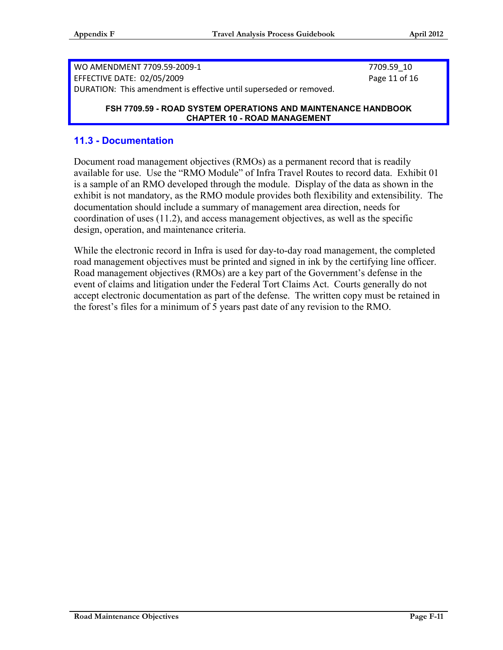7709.59\_10 Page 11 of 16

#### <span id="page-12-0"></span>**FSH 7709.59 - ROAD SYSTEM OPERATIONS AND MAINTENANCE HANDBOOK CHAPTER 10 - ROAD MANAGEMENT**

## **11.3 - Documentation**

Document road management objectives (RMOs) as a permanent record that is readily available for use. Use the "RMO Module" of Infra Travel Routes to record data. Exhibit 01 is a sample of an RMO developed through the module. Display of the data as shown in the exhibit is not mandatory, as the RMO module provides both flexibility and extensibility. The documentation should include a summary of management area direction, needs for coordination of uses (11.2), and access management objectives, as well as the specific design, operation, and maintenance criteria.

While the electronic record in Infra is used for day-to-day road management, the completed road management objectives must be printed and signed in ink by the certifying line officer. Road management objectives (RMOs) are a key part of the Government's defense in the event of claims and litigation under the Federal Tort Claims Act. Courts generally do not accept electronic documentation as part of the defense. The written copy must be retained in the forest's files for a minimum of 5 years past date of any revision to the RMO.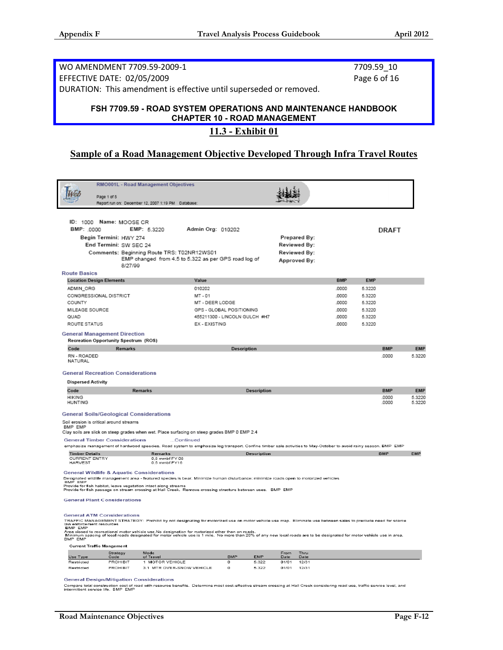7709.59\_10 Page 6 of 16

#### **FSH 7709.59 - ROAD SYSTEM OPERATIONS AND MAINTENANCE HANDBOOK CHAPTER 10 - ROAD MANAGEMENT**

## **11.3 - Exhibit 01**

## **Sample of a Road Management Objective Developed Through Infra Travel Routes**

|                                                                                                                                                                         | Page 1 of 5                                                 | RMO001L - Road Management Objectives<br>Report run on: December 12, 2007 1:19 PM Database: |                                                                                                                                                                                                                                                                                                                                                                                                                 |                    |                              |                              |                                                    |                                                          |                              |                  |
|-------------------------------------------------------------------------------------------------------------------------------------------------------------------------|-------------------------------------------------------------|--------------------------------------------------------------------------------------------|-----------------------------------------------------------------------------------------------------------------------------------------------------------------------------------------------------------------------------------------------------------------------------------------------------------------------------------------------------------------------------------------------------------------|--------------------|------------------------------|------------------------------|----------------------------------------------------|----------------------------------------------------------|------------------------------|------------------|
| ID: 1000 Name: MOOSE CR<br>BMP: 0000<br><b>Route Basics</b>                                                                                                             | Begin Termini: HWY 274<br>End Termini: SW SEC 24<br>8/27/99 | EMP: 5.3220<br>Comments: Beginning Route TRS: T02NR12WS01                                  | Admin Org: 010202<br>EMP changed from 4.5 to 5.322 as per GPS road log of                                                                                                                                                                                                                                                                                                                                       |                    | Reviewed By:<br>Reviewed By: | Prepared By:<br>Approved By: |                                                    |                                                          | DRAFT                        |                  |
| <b>Location Design Elements</b>                                                                                                                                         |                                                             |                                                                                            | Value                                                                                                                                                                                                                                                                                                                                                                                                           |                    |                              |                              | <b>BMP</b>                                         | <b>EMP</b>                                               |                              |                  |
| ADMIN_ORG<br>CONGRESSIONAL DISTRICT<br>COUNTY<br>MILEAGE SOURCE<br>QUAD<br>ROUTE STATUS<br><b>General Management Direction</b><br>Recreation Opportunity Spectrum (ROS) |                                                             |                                                                                            | 010202<br>MT-01<br>MT - DEER LODGE<br>GPS - GLOBAL POSITIONING<br>455211300 - LINCOLN GULCH #H7<br>EX-EXISTING                                                                                                                                                                                                                                                                                                  |                    |                              |                              | ,0000<br>.0000<br>.0000<br>.0000<br>.0000<br>.0000 | 5.3220<br>5.3220<br>5.3220<br>5.3220<br>5.3220<br>5.3220 |                              |                  |
| Code                                                                                                                                                                    | Remarks                                                     |                                                                                            |                                                                                                                                                                                                                                                                                                                                                                                                                 | Description        |                              |                              |                                                    |                                                          | <b>BMP</b>                   | <b>EMP</b>       |
| RN - ROADED<br>NATURAL<br><b>General Recreation Considerations</b>                                                                                                      |                                                             |                                                                                            |                                                                                                                                                                                                                                                                                                                                                                                                                 |                    |                              |                              |                                                    |                                                          | .0000                        | 5.3220           |
| <b>Dispersed Activity</b>                                                                                                                                               |                                                             |                                                                                            |                                                                                                                                                                                                                                                                                                                                                                                                                 |                    |                              |                              |                                                    |                                                          |                              |                  |
|                                                                                                                                                                         |                                                             |                                                                                            |                                                                                                                                                                                                                                                                                                                                                                                                                 |                    |                              |                              |                                                    |                                                          |                              |                  |
| Code<br><b>HIKING</b><br><b>HUNTING</b><br><b>General Soils/Geological Considerations</b><br>Soil erosion is critical around streams<br>BMP EMP                         |                                                             | <b>Remarks</b>                                                                             |                                                                                                                                                                                                                                                                                                                                                                                                                 | <b>Description</b> |                              |                              |                                                    |                                                          | <b>BMP</b><br>.0000<br>.0000 | <b>EMP</b>       |
|                                                                                                                                                                         |                                                             |                                                                                            | Clay soils are slick on steep grades when wet. Place surfacing on steep grades BMP 0 EMP 2.4                                                                                                                                                                                                                                                                                                                    |                    |                              |                              |                                                    |                                                          |                              |                  |
| <b>General Timber Considerations</b>                                                                                                                                    |                                                             |                                                                                            | Continued                                                                                                                                                                                                                                                                                                                                                                                                       |                    |                              |                              |                                                    |                                                          |                              | 5.3220<br>5.3220 |
| <b>Timber Details</b>                                                                                                                                                   |                                                             | <b>Remarks</b>                                                                             | emphasize management of hardwood speecies. Road system to emphasize log transport. Confine timber sale activities to May-October to avoid rainy season. BMP EMP                                                                                                                                                                                                                                                 | Description        |                              |                              |                                                    |                                                          | <b>RMP</b>                   | <b>EMP</b>       |
| <b>CURRENT ENTRY</b><br><b>HARVEST</b>                                                                                                                                  |                                                             | 0,8 mmbf FY 08<br>0.5 mmbf EY16                                                            |                                                                                                                                                                                                                                                                                                                                                                                                                 |                    |                              |                              |                                                    |                                                          |                              |                  |
| <b>General Wildlife &amp; Aquatic Considerations</b><br>BMP EMP<br>Provide for fish habitat, leave vegetation intact along streams                                      |                                                             |                                                                                            | Designated wildlife management area - featured species is bear. Minimize human disturbance; minimize roads open to motorized vehicles<br>Provide for fish passage on stream crossing at Hall Creek. Remove crossing structure between uses. BMP EMP                                                                                                                                                             |                    |                              |                              |                                                    |                                                          |                              |                  |
| <b>General Plant Considerations</b><br><b>General ATM Considerations</b><br>law enforcement resources<br>BMP FMP<br><b>BMP EMP</b><br><b>Current Traffic Mangement</b>  | Strategy                                                    | Mode                                                                                       | TRAFFIC MANAGEMENT STRATEGY: Prohibit by not designating for motorized use on motor vehicle use map. Eliminate use between sales to preclude need for scarce<br>Area closed to recreational motor vehicle use.No designation for motorized other than on roads.<br>Minimum spacing of local roads designated for motor vehicle use is 1 mile. No more than 20% of any new local roads are to be d<br><b>BMP</b> | EMP                | From                         | Thru                         |                                                    |                                                          |                              |                  |
| Use Type<br>Restricted                                                                                                                                                  | Code<br><b>PROHIBIT</b>                                     | of Travel<br>1 MOTOR VEHICLE                                                               | o                                                                                                                                                                                                                                                                                                                                                                                                               | 5.322              | Date<br>01/01                | Date<br>12/31                |                                                    |                                                          |                              |                  |

#### **General Design/Mitigation Considerations**

Compare total construction cost of road with resource benefits. Determine most cost-effective stream crossing at Hall Creek considering road use, traffic service level, and<br>intermittent service life. BMP EMP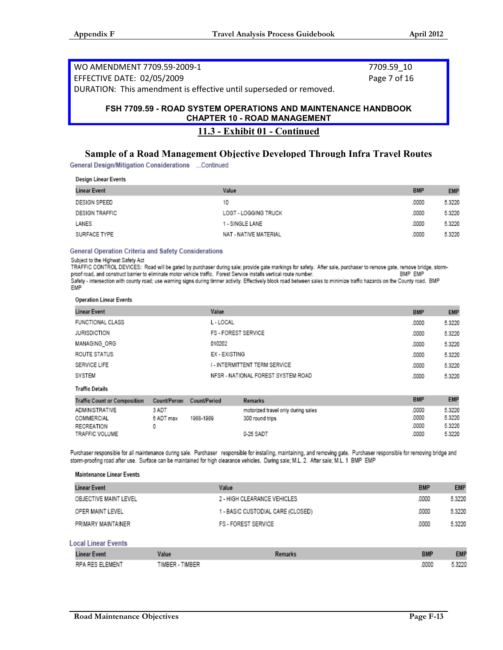## **FSH 7709.59 - ROAD SYSTEM OPERATIONS AND MAINTENANCE HANDBOOK CHAPTER 10 - ROAD MANAGEMENT**

#### **11.3 - Exhibit 01 - Continued**

### **Sample of a Road Management Objective Developed Through Infra Travel Routes**

General Design/Mitigation Considerations ...Continued

| Design Linear Events |                       |            |            |
|----------------------|-----------------------|------------|------------|
| Linear Event         | Value                 | <b>BMP</b> | <b>EMP</b> |
| DESIGN SPEED         | 10                    | .0000      | 5.3220     |
| DESIGN TRAFFIC       | LOGT - LOGGING TRUCK  | ,0000      | 5.3220     |
| LANES                | 1 - SINGLE LANE       | ,0000      | 5.3220     |
| SURFACE TYPE         | NAT - NATIVE MATERIAL | .0000      | 5.3220     |
|                      |                       |            |            |

#### **General Operation Criteria and Safety Considerations**

Subject to the Highwat Safety Act

TRAFFIC CONTROL DEVICES: Road will be gated by purchaser during sale; provide gate markings for safety. After sale, purchaser to remove gate, remove bridge, stomproof road, and construct barrier to eliminate motor vehicle traffic. Forest Service installs vertical route number. BMP EMP BMP EMP CMP Safety - intersection with county road; use warning signs during timner activity. Eff

EMP

| <b>Operation Linear Events</b> |  |  |  |
|--------------------------------|--|--|--|
|--------------------------------|--|--|--|

| <b>Linear Event</b>     | Value                              | <b>BMP</b> | <b>EMP</b> |
|-------------------------|------------------------------------|------------|------------|
| <b>FUNCTIONAL CLASS</b> | L - LOCAL                          | ,0000      | 5.3220     |
| JURISDICTION            | FS - FOREST SERVICE                | .0000      | 5.3220     |
| MANAGING ORG            | 010202                             | ,0000      | 5.3220     |
| ROUTE STATUS            | EX - EXISTING                      | .0000      | 5.3220     |
| SERVICE LIFE            | I - INTERMITTENT TERM SERVICE      | .0000      | 5.3220     |
| SYSTEM                  | NFSR - NATIONAL FOREST SYSTEM ROAD | ,0000      | 5.3220     |
| <b>Traffic Details</b>  |                                    |            |            |

| Traffic Count or Composition | <b>Count/Percer</b> | Count/Period | <b>Remarks</b>                     | <b>BMP</b> | <b>EMP</b> |
|------------------------------|---------------------|--------------|------------------------------------|------------|------------|
| ADMINISTRATIVE               | 3 ADT               |              | motorized travel only during sales | ,0000      | 5.3220     |
| COMMERCIAL                   | 6 ADT max           | 1988-1989    | 300 round trips                    | ,0000      | 5.3220     |
| RECREATION                   |                     |              |                                    | ,0000      | 5.3220     |
| TRAFFIC VOLUME               |                     |              | 0-25 SADT                          | ,0000      | 5.3220     |

Purchaser responsible for all maintenance during sale. Purchaser responsible for installing, maintaining, and removing gate. Purchaser responsible for removing bridge and storm-proofing road after use. Surface can be maintained for high clearance vehicles. During sale; M.L. 2. After sale; M.L. 1 BMP EMP

| <b>Maintenance Linear Events</b> |                                   |            |            |
|----------------------------------|-----------------------------------|------------|------------|
| <b>Linear Event</b>              | Value                             | <b>BMP</b> | <b>EMP</b> |
| OBJECTIVE MAINT LEVEL            | 2 - HIGH CLEARANCE VEHICLES       | .0000      | 5.3220     |
| OPER MAINT LEVEL                 | 1 - BASIC CUSTODIAL CARE (CLOSED) | .0000      | 5,3220     |
| PRIMARY MAINTAINER               | <b>FS - FOREST SERVICE</b>        | ,0000      | 5,3220     |
| Local Linear Events              |                                   |            |            |

| <b>Linear Event</b> | Value           | Remarks | <b>BMP</b> | <b>EMP</b> |
|---------------------|-----------------|---------|------------|------------|
| RPA RES ELEMENT     | TIMBER - TIMBER |         | .0000      | .3220      |